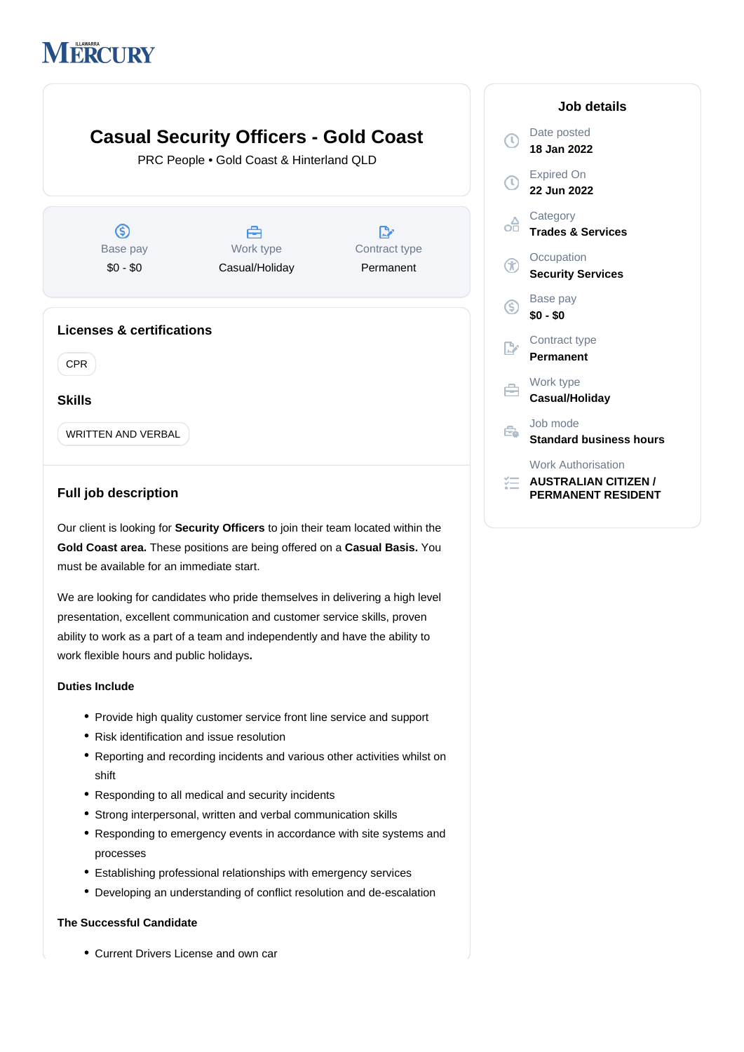# **MERCURY**

## **Casual Security Officers - Gold Coast**  $\sqrt{C}$ PRC People • Gold Coast & Hinterland QLD  $\overline{\mathfrak{a}}$ оì  $\circledS$ Å  $\mathbb{D}$ Base pay Work type Contract type  $\mathcal{F}$ \$0 - \$0 Casual/Holiday Permanent  $\mathbf G$ **Licenses & certifications**  $\overline{h}$ CPR  $\in$ **Skills** Ė. WRITTEN AND VERBAL

### **Full job description**

Our client is looking for **Security Officers** to join their team located within the Gold Coast area. These positions are being offered on a Casual Basis. You must be available for an immediate start.

We are looking for candidates who pride themselves in delivering a high level presentation, excellent communication and customer service skills, proven ability to work as a part of a team and independently and have the ability to work flexible hours and public holidays**.**

#### **Duties Include**

- Provide high quality customer service front line service and support
- Risk identification and issue resolution
- Reporting and recording incidents and various other activities whilst on shift
- Responding to all medical and security incidents
- Strong interpersonal, written and verbal communication skills
- Responding to emergency events in accordance with site systems and processes
- Establishing professional relationships with emergency services
- Developing an understanding of conflict resolution and de-escalation

#### **The Successful Candidate**

Current Drivers License and own car

| Job details                    |                                                                                       |
|--------------------------------|---------------------------------------------------------------------------------------|
| C                              | Date posted<br>18 Jan 2022                                                            |
| O)                             | <b>Expired On</b><br>22 Jun 2022                                                      |
| ╬                              | Category<br><b>Trades &amp; Services</b>                                              |
| $^\circledR$                   | Occupation<br><b>Security Services</b>                                                |
| ⑤                              | Base pay<br>\$0 - \$0                                                                 |
| $\sum_{\lambda\in\mathcal{A}}$ | Contract type<br>Permanent                                                            |
| ⇔                              | Work type<br>Casual/Holiday                                                           |
| ₹                              | Job mode<br><b>Standard business hours</b>                                            |
|                                | <b>Work Authorisation</b><br><b>AUSTRALIAN CITIZEN /</b><br><b>PERMANENT RESIDENT</b> |